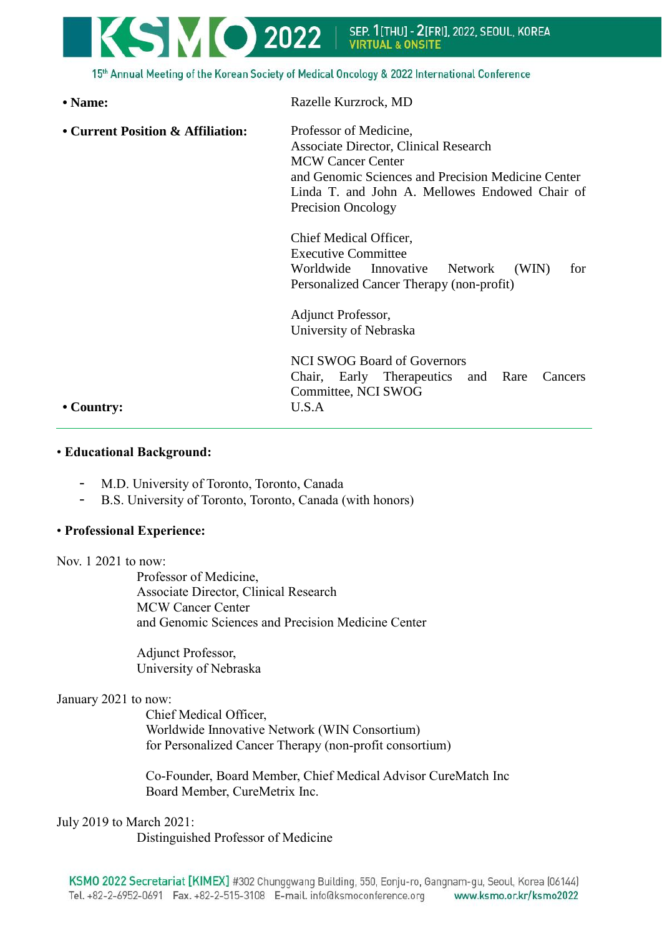

15th Annual Meeting of the Korean Society of Medical Oncology & 2022 International Conference

| • Name:                                         | Razelle Kurzrock, MD                                                                                                                                                                                                             |
|-------------------------------------------------|----------------------------------------------------------------------------------------------------------------------------------------------------------------------------------------------------------------------------------|
| • Current Position & Affiliation:<br>• Country: | Professor of Medicine,<br>Associate Director, Clinical Research<br><b>MCW Cancer Center</b><br>and Genomic Sciences and Precision Medicine Center<br>Linda T. and John A. Mellowes Endowed Chair of<br><b>Precision Oncology</b> |
|                                                 | Chief Medical Officer,<br><b>Executive Committee</b><br>Worldwide Innovative<br>Network<br>(WIN)<br>for<br>Personalized Cancer Therapy (non-profit)                                                                              |
|                                                 | Adjunct Professor,<br>University of Nebraska                                                                                                                                                                                     |
|                                                 | <b>NCI SWOG Board of Governors</b><br>Chair, Early Therapeutics and Rare<br>Cancers<br>Committee, NCI SWOG<br>U.S.A                                                                                                              |

## • **Educational Background:**

- M.D. University of Toronto, Toronto, Canada
- B.S. University of Toronto, Toronto, Canada (with honors)

### • **Professional Experience:**

### Nov. 1 2021 to now:

Professor of Medicine, Associate Director, Clinical Research MCW Cancer Center and Genomic Sciences and Precision Medicine Center

Adjunct Professor, University of Nebraska

### January 2021 to now:

Chief Medical Officer, Worldwide Innovative Network (WIN Consortium) for Personalized Cancer Therapy (non-profit consortium)

Co-Founder, Board Member, Chief Medical Advisor CureMatch Inc Board Member, CureMetrix Inc.

### July 2019 to March 2021:

Distinguished Professor of Medicine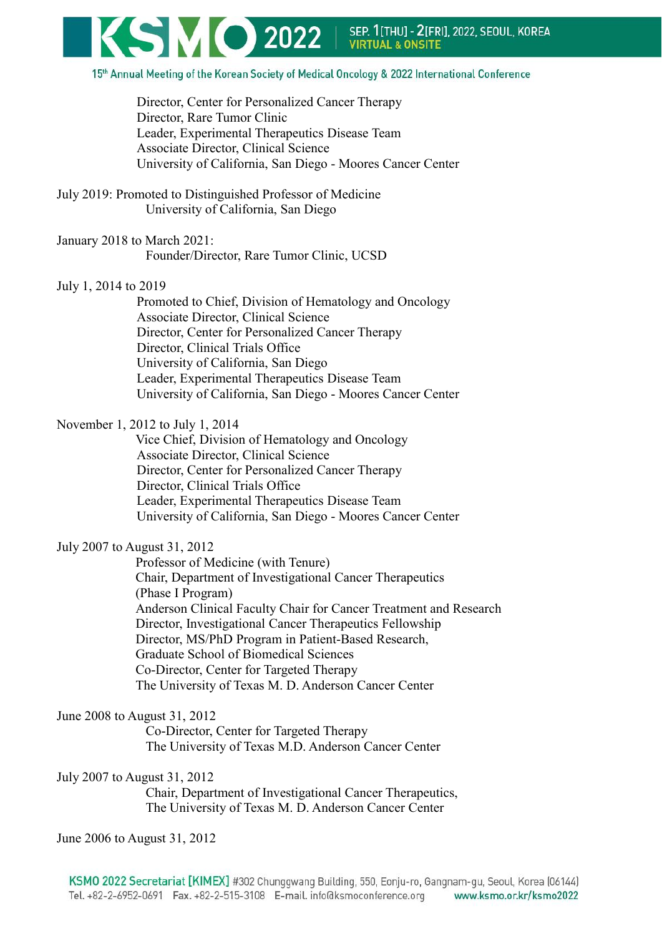

Director, Center for Personalized Cancer Therapy Director, Rare Tumor Clinic Leader, Experimental Therapeutics Disease Team Associate Director, Clinical Science University of California, San Diego - Moores Cancer Center

July 2019: Promoted to Distinguished Professor of Medicine University of California, San Diego

January 2018 to March 2021: Founder/Director, Rare Tumor Clinic, UCSD

## July 1, 2014 to 2019

Promoted to Chief, Division of Hematology and Oncology Associate Director, Clinical Science Director, Center for Personalized Cancer Therapy Director, Clinical Trials Office University of California, San Diego Leader, Experimental Therapeutics Disease Team University of California, San Diego - Moores Cancer Center

November 1, 2012 to July 1, 2014

Vice Chief, Division of Hematology and Oncology Associate Director, Clinical Science Director, Center for Personalized Cancer Therapy Director, Clinical Trials Office Leader, Experimental Therapeutics Disease Team University of California, San Diego - Moores Cancer Center

## July 2007 to August 31, 2012

Professor of Medicine (with Tenure) Chair, Department of Investigational Cancer Therapeutics (Phase I Program) Anderson Clinical Faculty Chair for Cancer Treatment and Research Director, Investigational Cancer Therapeutics Fellowship Director, MS/PhD Program in Patient-Based Research, Graduate School of Biomedical Sciences Co-Director, Center for Targeted Therapy The University of Texas M. D. Anderson Cancer Center

## June 2008 to August 31, 2012

Co-Director, Center for Targeted Therapy The University of Texas M.D. Anderson Cancer Center

July 2007 to August 31, 2012

Chair, Department of Investigational Cancer Therapeutics, The University of Texas M. D. Anderson Cancer Center

June 2006 to August 31, 2012